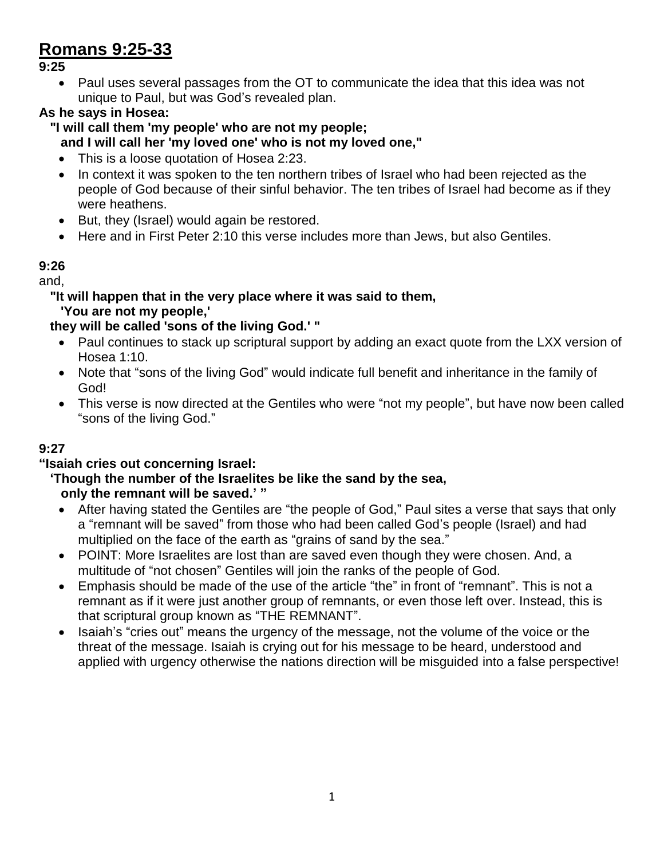## **Romans 9:25-33**

**9:25**

• Paul uses several passages from the OT to communicate the idea that this idea was not unique to Paul, but was God's revealed plan.

### **As he says in Hosea:**

- **"I will call them 'my people' who are not my people; and I will call her 'my loved one' who is not my loved one,"**
	- This is a loose quotation of Hosea 2:23.
	- In context it was spoken to the ten northern tribes of Israel who had been rejected as the people of God because of their sinful behavior. The ten tribes of Israel had become as if they were heathens.
	- But, they (Israel) would again be restored.
	- Here and in First Peter 2:10 this verse includes more than Jews, but also Gentiles.

#### **9:26**

and,

#### **"It will happen that in the very place where it was said to them, 'You are not my people,'**

#### **they will be called 'sons of the living God.' "**

- Paul continues to stack up scriptural support by adding an exact quote from the LXX version of Hosea 1:10.
- Note that "sons of the living God" would indicate full benefit and inheritance in the family of God!
- This verse is now directed at the Gentiles who were "not my people", but have now been called "sons of the living God."

#### **9:27**

#### **"Isaiah cries out concerning Israel:**

#### **'Though the number of the Israelites be like the sand by the sea, only the remnant will be saved.' "**

- After having stated the Gentiles are "the people of God," Paul sites a verse that says that only a "remnant will be saved" from those who had been called God's people (Israel) and had multiplied on the face of the earth as "grains of sand by the sea."
- POINT: More Israelites are lost than are saved even though they were chosen. And, a multitude of "not chosen" Gentiles will join the ranks of the people of God.
- Emphasis should be made of the use of the article "the" in front of "remnant". This is not a remnant as if it were just another group of remnants, or even those left over. Instead, this is that scriptural group known as "THE REMNANT".
- Isaiah's "cries out" means the urgency of the message, not the volume of the voice or the threat of the message. Isaiah is crying out for his message to be heard, understood and applied with urgency otherwise the nations direction will be misguided into a false perspective!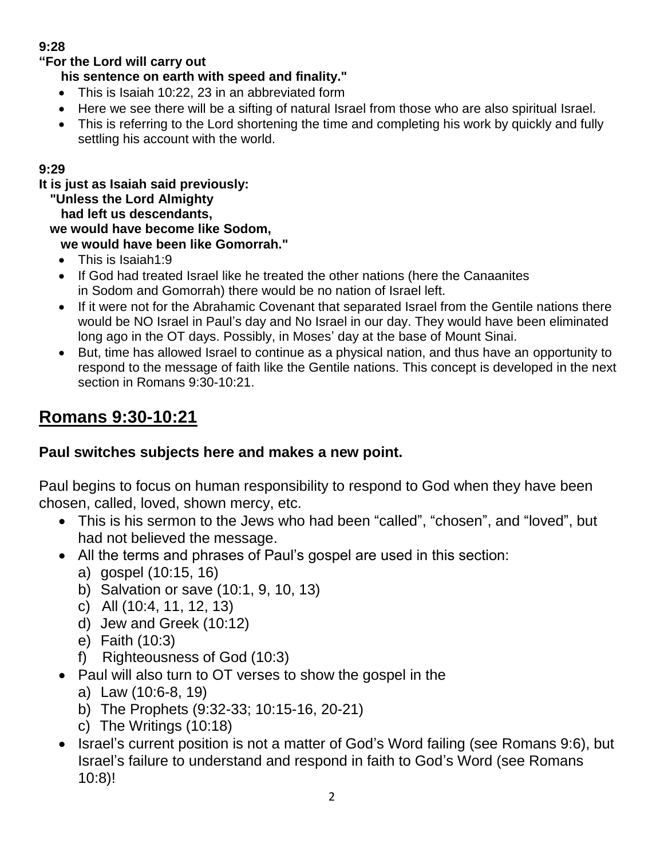### **9:28**

#### **"For the Lord will carry out**

### **his sentence on earth with speed and finality."**

- This is Isaiah 10:22, 23 in an abbreviated form
- Here we see there will be a sifting of natural Israel from those who are also spiritual Israel.
- This is referring to the Lord shortening the time and completing his work by quickly and fully settling his account with the world.

#### **9:29**

**It is just as Isaiah said previously:**

 **"Unless the Lord Almighty**

 **had left us descendants,**

 **we would have become like Sodom,**

 **we would have been like Gomorrah."**

- This is Isaiah1:9
- If God had treated Israel like he treated the other nations (here the Canaanites in Sodom and Gomorrah) there would be no nation of Israel left.
- If it were not for the Abrahamic Covenant that separated Israel from the Gentile nations there would be NO Israel in Paul's day and No Israel in our day. They would have been eliminated long ago in the OT days. Possibly, in Moses' day at the base of Mount Sinai.
- But, time has allowed Israel to continue as a physical nation, and thus have an opportunity to respond to the message of faith like the Gentile nations. This concept is developed in the next section in Romans 9:30-10:21.

# **Romans 9:30-10:21**

## **Paul switches subjects here and makes a new point.**

Paul begins to focus on human responsibility to respond to God when they have been chosen, called, loved, shown mercy, etc.

- This is his sermon to the Jews who had been "called", "chosen", and "loved", but had not believed the message.
- All the terms and phrases of Paul's gospel are used in this section:
	- a) gospel (10:15, 16)
	- b) Salvation or save (10:1, 9, 10, 13)
	- c) All (10:4, 11, 12, 13)
	- d) Jew and Greek (10:12)
	- e) Faith (10:3)
	- f) Righteousness of God (10:3)
- Paul will also turn to OT verses to show the gospel in the
	- a) Law (10:6-8, 19)
	- b) The Prophets (9:32-33; 10:15-16, 20-21)
	- c) The Writings (10:18)
- Israel's current position is not a matter of God's Word failing (see Romans 9:6), but Israel's failure to understand and respond in faith to God's Word (see Romans 10:8)!